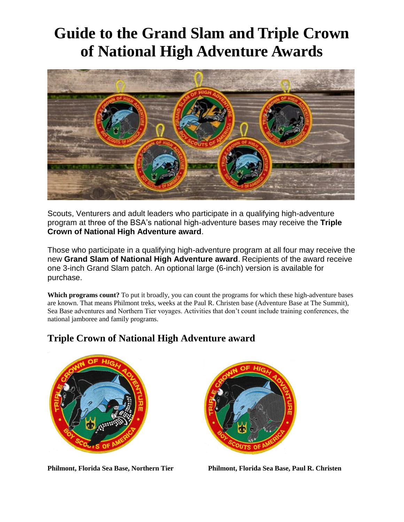## **Guide to the Grand Slam and Triple Crown of National High Adventure Awards**



Scouts, Venturers and adult leaders who participate in a qualifying high-adventure program at three of the BSA's national high-adventure bases may receive the **Triple Crown of National High Adventure award**.

Those who participate in a qualifying high-adventure program at all four may receive the new **Grand Slam of National High Adventure award**. Recipients of the award receive one 3-inch Grand Slam patch. An optional large (6-inch) version is available for purchase.

Which programs count? To put it broadly, you can count the programs for which these high-adventure bases are known. That means Philmont treks, weeks at the Paul R. Christen base (Adventure Base at The Summit), Sea Base adventures and Northern Tier voyages. Activities that don't count include training conferences, the national jamboree and family programs.



## **Triple Crown of National High Adventure award**



**Philmont, Florida Sea Base, Northern Tier Philmont, Florida Sea Base, Paul R. Christen**